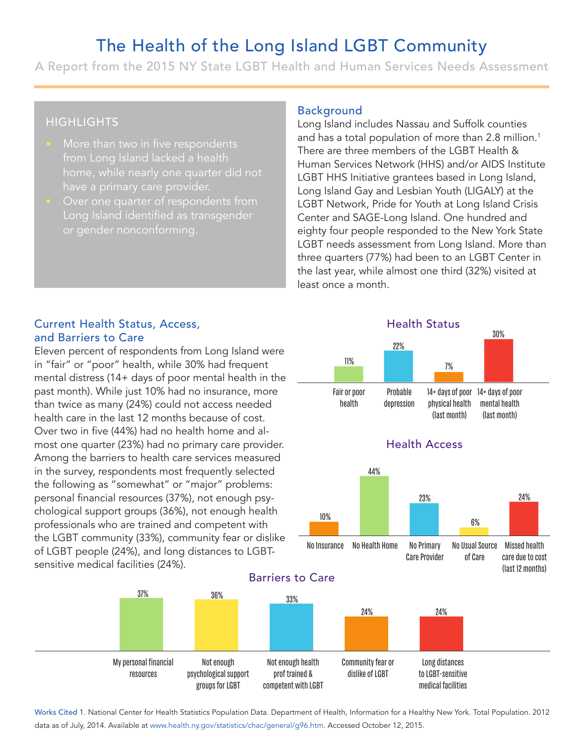# The Health of the Long Island LGBT Community

A Report from the 2015 NY State LGBT Health and Human Services Needs Assessment

### **HIGHLIGHTS**

- More than two in five respondents from Long Island lacked a health
- Over one quarter of respondents from Long Island identified as transgender or gender nonconforming.

#### Background

Long Island includes Nassau and Suffolk counties and has a total population of more than 2.8 million.<sup>1</sup> There are three members of the LGBT Health & Human Services Network (HHS) and/or AIDS Institute LGBT HHS Initiative grantees based in Long Island, Long Island Gay and Lesbian Youth (LIGALY) at the LGBT Network, Pride for Youth at Long Island Crisis Center and SAGE-Long Island. One hundred and eighty four people responded to the New York State LGBT needs assessment from Long Island. More than three quarters (77%) had been to an LGBT Center in the last year, while almost one third (32%) visited at least once a month. 11 cludes Nassau and Suffolk counties<br>
I population of more than 2.8 million<br>
e members of the LGBT Health &<br>
es Network (HHS) and/or AIDS Institutiative grantees based in Long Island<br>
ay and Lesbian Youth (LIGALY) at the<br>
c,

Health Status

#### Current Health Status, Access, and Barriers to Care

Eleven percent of respondents from Long Island were in "fair" or "poor" health, while 30% had frequent mental distress (14+ days of poor mental health in the past month). While just 10% had no insurance, more than twice as many (24%) could not access needed health care in the last 12 months because of cost. Over two in five (44%) had no health home and almost one quarter (23%) had no primary care provider. Among the barriers to health care services measured in the survey, respondents most frequently selected the following as "somewhat" or "major" problems: personal financial resources (37%), not enough psychological support groups (36%), not enough health professionals who are trained and competent with the LGBT community (33%), community fear or dislike of LGBT people (24%), and long distances to LGBTsensitive medical facilities (24%).

> My personal financial resources

Not enough psychological support groups for LGBT



medical facilities

Works Cited 1. National Center for Health Statistics Population Data. Department of Health, Information for a Healthy New York. Total Population. 2012 data as of July, 2014. Available at www.health.ny.gov/statistics/chac/general/g96.htm. Accessed October 12, 2015.

competent with LGBT